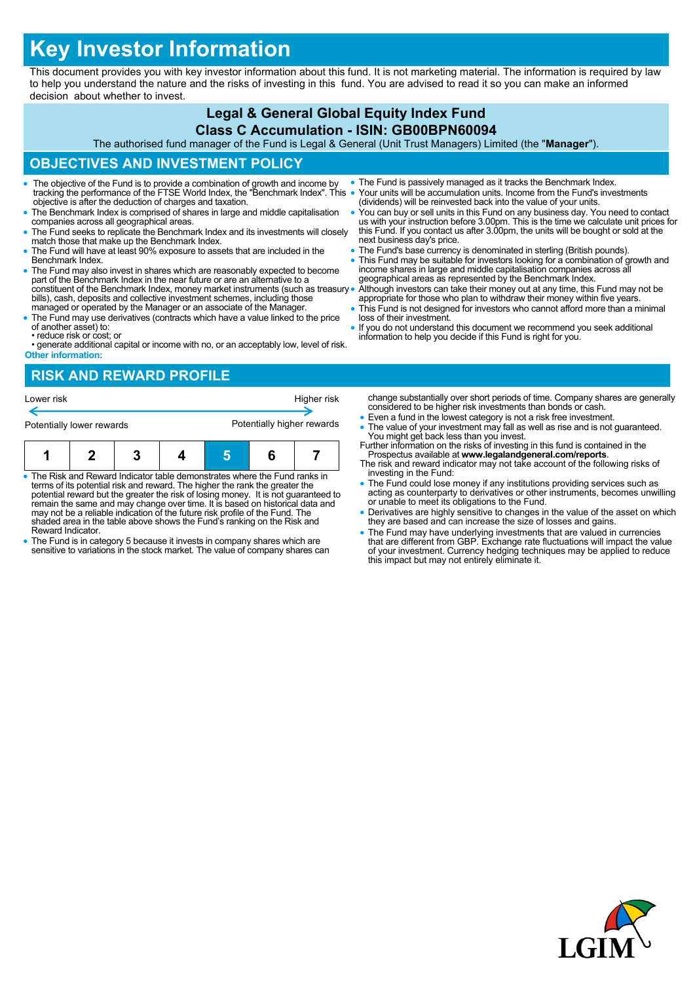# **Key Investor Information**

This document provides you with key investor information about this fund. It is not marketing material. The information is required by law to help you understand the nature and the risks of investing in this fund. You are advised to read it so you can make an informed decision about whether to invest.

# **Legal & General Global Equity Index Fund**

**Class C Accumulation - ISIN: GB00BPN60094** The authorised fund manager of the Fund is Legal & General (Unit Trust Managers) Limited (the "**Manager**").

## **OBJECTIVES AND INVESTMENT POLICY**

- The objective of the Fund is to provide a combination of growth and income by tracking the performance of the FTSE World Index, the "Benchmark Index". This objective is after the deduction of charges and taxation.
- The Benchmark Index is comprised of shares in large and middle capitalisation companies across all geographical areas.
- The Fund seeks to replicate the Benchmark Index and its investments will closely match those that make up the Benchmark Index.
- The Fund will have at least 90% exposure to assets that are included in the Benchmark Index.
- The Fund may also invest in shares which are reasonably expected to become part of the Benchmark Index in the near future or are an alternative to a constituent of the Benchmark Index, money market instruments (such as treasury bills), cash, deposits and collective investment schemes, including those managed or operated by the Manager or an associate of the Manager.
- The Fund may use derivatives (contracts which have a value linked to the price of another asset) to:
- reduce risk or cost; or
- generate additional capital or income with no, or an acceptably low, level of risk. **Other information:**

### **RISK AND REWARD PROFILE**

| Lower risk                                                                 |  |                                                                             | change substantially over short periods of tin<br>considered to be higher risk investments that<br>• Even a fund in the lowest category is not a rise<br>• The value of your investment may fall as well<br>You might get back less than you invest. |                                                                                    |                                                                                                                                                 |
|----------------------------------------------------------------------------|--|-----------------------------------------------------------------------------|------------------------------------------------------------------------------------------------------------------------------------------------------------------------------------------------------------------------------------------------------|------------------------------------------------------------------------------------|-------------------------------------------------------------------------------------------------------------------------------------------------|
| Potentially lower rewards                                                  |  | Potentially higher rewards                                                  |                                                                                                                                                                                                                                                      |                                                                                    |                                                                                                                                                 |
|                                                                            |  |                                                                             |                                                                                                                                                                                                                                                      |                                                                                    | Further information on the risks of investing in t<br>Prospectus available at www.legalandgene<br>The risk and reward indicator may not take ad |
| • The Risk and Reward Indicator table demonstrates where the Fund ranks in |  | terms of its potential risk and reward. The higher the rank the greater the |                                                                                                                                                                                                                                                      | potential reward but the greater the risk of losing money. It is not guaranteed to | investing in the Fund:<br>• The Fund could lose money if any institution<br>acting as counterparty to derivatives or other                      |

- potential reward but the greater the risk of losing money. It is not guaranteed to remain the same and may change over time. It is based on historical data and may not be a reliable indication of the future risk profile of the Fund. The shaded area in the table above shows the Fund's ranking on the Risk and Reward Indicator.
- The Fund is in category 5 because it invests in company shares which are sensitive to variations in the stock market. The value of company shares can
- The Fund is passively managed as it tracks the Benchmark Index. Your units will be accumulation units. Income from the Fund's investments (dividends) will be reinvested back into the value of your units.
- You can buy or sell units in this Fund on any business day. You need to contact us with your instruction before 3.00pm. This is the time we calculate unit prices for this Fund. If you contact us after 3.00pm, the units will be bought or sold at the next business day's price.
- The Fund's base currency is denominated in sterling (British pounds).
- This Fund may be suitable for investors looking for a combination of growth and income shares in large and middle capitalisation companies across all geographical areas as represented by the Benchmark Index.

 Although investors can take their money out at any time, this Fund may not be appropriate for those who plan to withdraw their money within five years. This Fund is not designed for investors who cannot afford more than a minimal

- loss of their investment.
- If you do not understand this document we recommend you seek additional information to help you decide if this Fund is right for you.

ne. Company shares are generally n bonds or cash

- sk free investment.
- I as rise and is not guaranteed. this fund is contained in the
- Prospectus available at **www.legalandgeneral.com/reports**. count of the following risks of
- ns providing services such as er instruments, becomes unwilling or unable to meet its obligations to the Fund.
- Derivatives are highly sensitive to changes in the value of the asset on which they are based and can increase the size of losses and gains.
- The Fund may have underlying investments that are valued in currencies<br>that are different from GBP. Exchange rate fluctuations will impact the value<br>of your investment. Currency hedging techniques may be applied to reduc